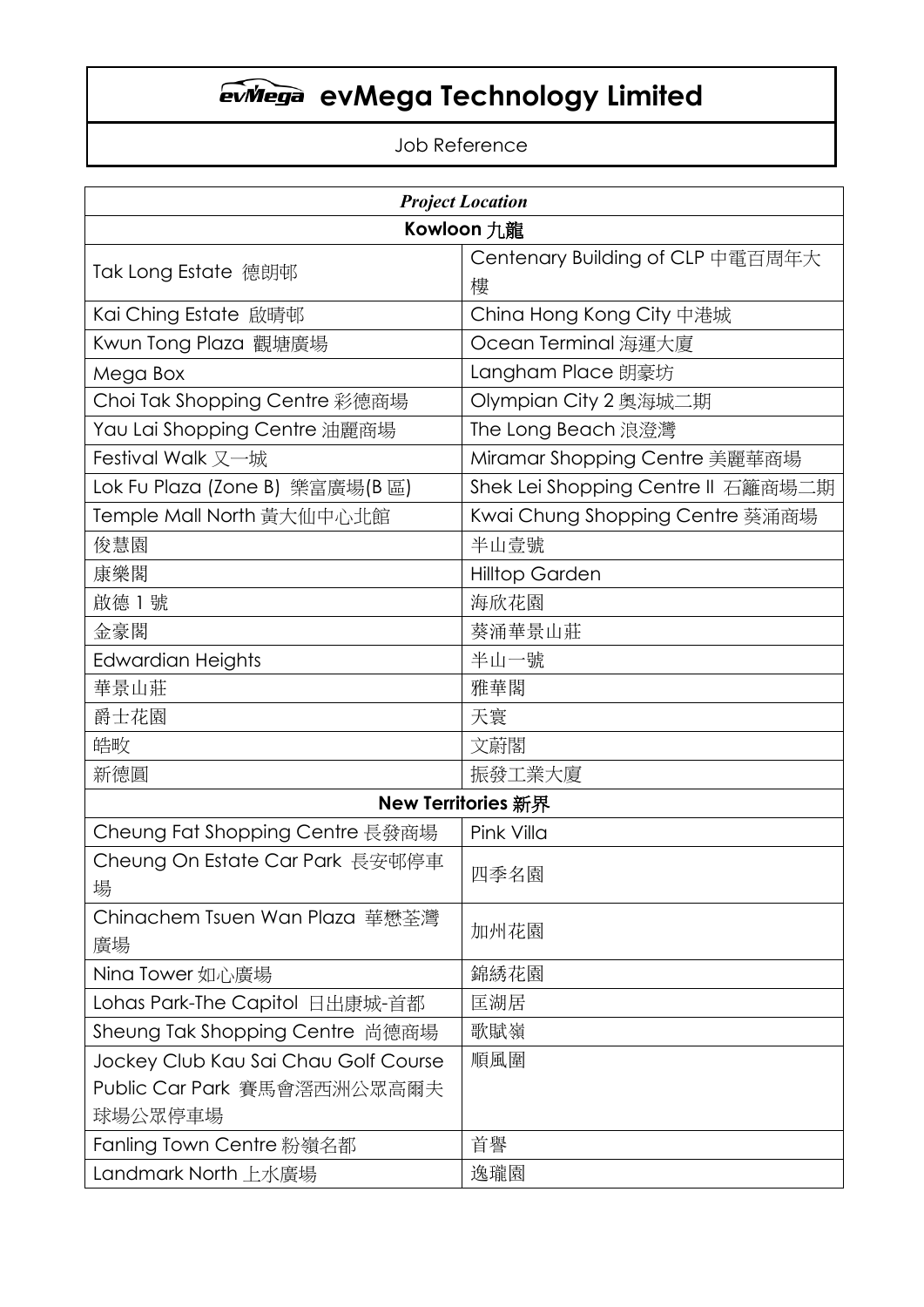### Job Reference

| <b>Project Location</b>              |                                   |  |
|--------------------------------------|-----------------------------------|--|
| Kowloon 九龍                           |                                   |  |
|                                      | Centenary Building of CLP 中電百周年大  |  |
| Tak Long Estate 德朗邨                  | 樓                                 |  |
| Kai Ching Estate 啟晴邨                 | China Hong Kong City 中港城          |  |
| Kwun Tong Plaza 觀塘廣場                 | Ocean Terminal 海運大廈               |  |
| Mega Box                             | Langham Place 朗豪坊                 |  |
| Choi Tak Shopping Centre 彩德商場        | Olympian City 2 奥海城二期             |  |
| Yau Lai Shopping Centre 油麗商場         | The Long Beach 浪澄灣                |  |
| Festival Walk 又一城                    | Miramar Shopping Centre 美麗華商場     |  |
| Lok Fu Plaza (Zone B) 樂富廣場(B 區)      | Shek Lei Shopping Centre Ⅱ 石籬商場二期 |  |
| Temple Mall North 黃大仙中心北館            | Kwai Chung Shopping Centre 葵涌商場   |  |
| 俊慧園                                  | 半山壹號                              |  |
| 康樂閣                                  | <b>Hilltop Garden</b>             |  |
| 啟德 1號                                | 海欣花園                              |  |
| 金豪閣                                  | 葵涌華景山莊                            |  |
| <b>Edwardian Heights</b>             | 半山一號                              |  |
| 華景山莊                                 | 雅華閣                               |  |
| 爵士花園                                 | 天寰                                |  |
| 皓畋                                   | 文蔚閣                               |  |
| 新德圓                                  | 振發工業大廈                            |  |
|                                      | <b>New Territories 新界</b>         |  |
| Cheung Fat Shopping Centre 長發商場      | Pink Villa                        |  |
| Cheung On Estate Car Park 長安邨停車      |                                   |  |
| 場                                    | 四季名園                              |  |
| Chinachem Tsuen Wan Plaza 華懋荃灣       |                                   |  |
| 廣場                                   | 加州花園                              |  |
| Nina Tower 如心廣場                      | 錦綉花園                              |  |
| Lohas Park-The Capitol 日出康城-首都       | 匡湖居                               |  |
| Sheung Tak Shopping Centre 尚德商場      | 歌賦嶺                               |  |
| Jockey Club Kau Sai Chau Golf Course | 順風圍                               |  |
| Public Car Park 賽馬會滘西洲公眾高爾夫          |                                   |  |
| 球場公眾停車場                              |                                   |  |
| Fanling Town Centre 粉嶺名都             | 首譽                                |  |
| Landmark North 上水廣場                  | 逸瓏園                               |  |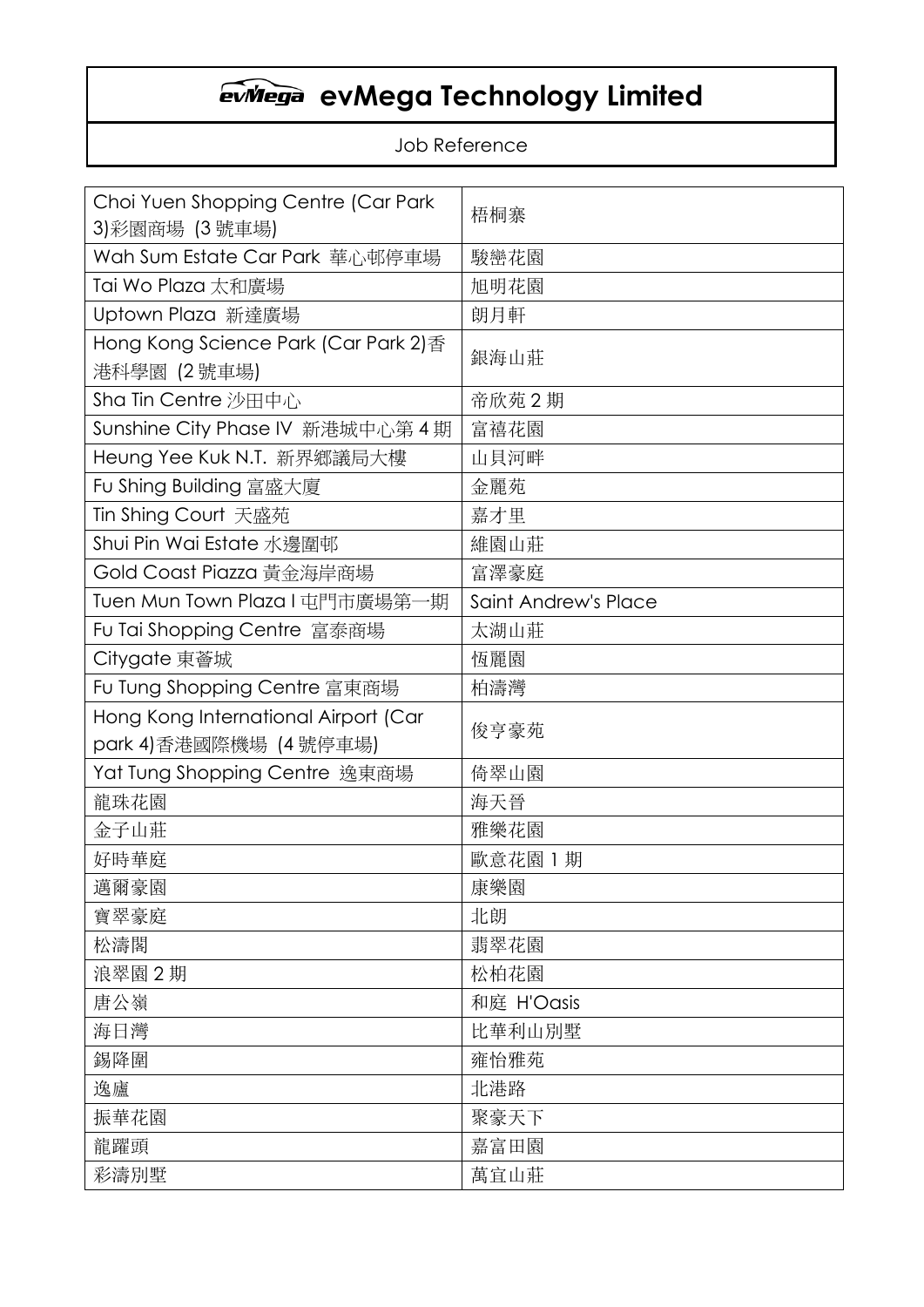### Job Reference

| Choi Yuen Shopping Centre (Car Park<br>3)彩園商場 (3 號車場) | 梧桐寨                  |  |
|-------------------------------------------------------|----------------------|--|
| Wah Sum Estate Car Park 華心邨停車場                        | 駿巒花園                 |  |
| Tai Wo Plaza 太和廣場                                     | 旭明花園                 |  |
| Uptown Plaza 新達廣場                                     | 朗月軒                  |  |
| Hong Kong Science Park (Car Park 2)香                  | 銀海山莊                 |  |
| 港科學園 (2 號車場)                                          |                      |  |
| Sha Tin Centre 沙田中心                                   | 帝欣苑 2 期              |  |
| Sunshine City Phase IV 新港城中心第 4 期                     | 富禧花園                 |  |
| Heung Yee Kuk N.T. 新界鄉議局大樓                            | 山貝河畔                 |  |
| Fu Shing Building 富盛大廈                                | 金麗苑                  |  |
| Tin Shing Court 天盛苑                                   | 嘉才里                  |  |
| Shui Pin Wai Estate 水邊圍邨                              | 維園山莊                 |  |
| Gold Coast Piazza 黃金海岸商場                              | 富澤豪庭                 |  |
| Tuen Mun Town Plaza I 屯門市廣場第一期                        | Saint Andrew's Place |  |
| Fu Tai Shopping Centre 富泰商場                           | 太湖山莊                 |  |
| Citygate 東薈城                                          | 恆麗園                  |  |
| Fu Tung Shopping Centre 富東商場                          | 柏濤灣                  |  |
| Hong Kong International Airport (Car                  | 俊亨豪苑                 |  |
| park 4)香港國際機場 (4 號停車場)                                |                      |  |
| Yat Tung Shopping Centre 逸東商場                         | 倚翠山園                 |  |
| 龍珠花園                                                  | 海天晉                  |  |
| 金子山莊                                                  | 雅樂花園                 |  |
| 好時華庭                                                  | 歐意花園 1 期             |  |
| 邁爾豪園                                                  | 康樂園                  |  |
| 寶翠豪庭                                                  | 北朗                   |  |
| 松濤閣                                                   | 翡翠花園                 |  |
| 浪翠園 2期                                                | 松柏花園                 |  |
| 唐公嶺                                                   | 和庭 H'Oasis           |  |
| 海日灣                                                   | 比華利山別墅               |  |
| 錫降圍                                                   | 雍怡雅苑                 |  |
| 逸廬                                                    | 北港路                  |  |
| 振華花園                                                  | 聚豪天下                 |  |
| 龍躍頭                                                   | 嘉富田園                 |  |
| 彩濤別墅                                                  | 萬宜山莊                 |  |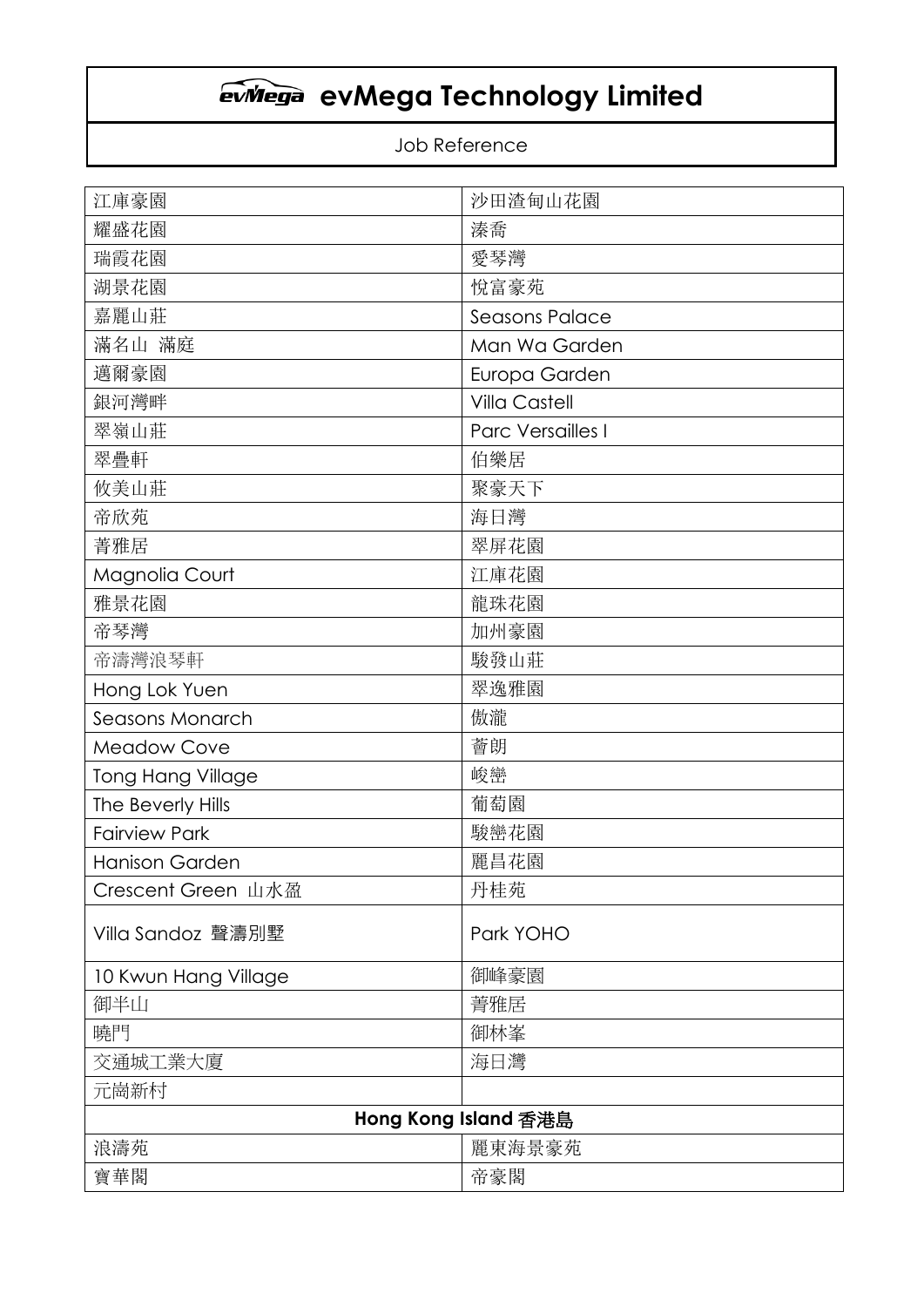### Job Reference

| 江庫豪園                     | 沙田渣甸山花園              |  |
|--------------------------|----------------------|--|
| 耀盛花園                     | 溱喬                   |  |
| 瑞霞花園                     | 愛琴灣                  |  |
| 湖景花園                     | 悅富豪苑                 |  |
| 嘉麗山莊                     | Seasons Palace       |  |
| 滿名山 滿庭                   | Man Wa Garden        |  |
| 邁爾豪園                     | Europa Garden        |  |
| 銀河灣畔                     | <b>Villa Castell</b> |  |
| 翠嶺山莊                     | Parc Versailles I    |  |
| 翠疊軒                      | 伯樂居                  |  |
| 攸美山莊                     | 聚豪天下                 |  |
| 帝欣苑                      | 海日灣                  |  |
| 菁雅居                      | 翠屏花園                 |  |
| Magnolia Court           | 江庫花園                 |  |
| 雅景花園                     | 龍珠花園                 |  |
| 帝琴灣                      | 加州豪園                 |  |
| 帝濤灣浪琴軒                   | 駿發山莊                 |  |
| Hong Lok Yuen            | 翠逸雅園                 |  |
| Seasons Monarch          | 傲瀧                   |  |
| <b>Meadow Cove</b>       | 薈朗                   |  |
| <b>Tong Hang Village</b> | 峻巒                   |  |
| The Beverly Hills        | 葡萄園                  |  |
| <b>Fairview Park</b>     | 駿巒花園                 |  |
| <b>Hanison Garden</b>    | 麗昌花園                 |  |
| Crescent Green 山水盈       | 丹桂苑                  |  |
| Villa Sandoz 聲濤別墅        | Park YOHO            |  |
| 10 Kwun Hang Village     | 御峰豪園                 |  |
| 御半山                      | 菁雅居                  |  |
| 曉門                       | 御林峯                  |  |
| 交通城工業大廈                  | 海日灣                  |  |
| 元崗新村                     |                      |  |
| Hong Kong Island 香港島     |                      |  |
| 浪濤苑                      | 麗東海景豪苑               |  |
| 寶華閣                      | 帝豪閣                  |  |